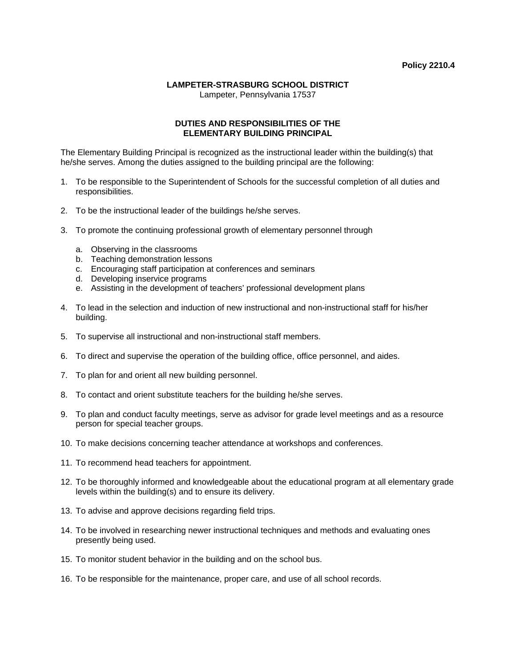## **LAMPETER-STRASBURG SCHOOL DISTRICT**

Lampeter, Pennsylvania 17537

## **DUTIES AND RESPONSIBILITIES OF THE ELEMENTARY BUILDING PRINCIPAL**

The Elementary Building Principal is recognized as the instructional leader within the building(s) that he/she serves. Among the duties assigned to the building principal are the following:

- 1. To be responsible to the Superintendent of Schools for the successful completion of all duties and responsibilities.
- 2. To be the instructional leader of the buildings he/she serves.
- 3. To promote the continuing professional growth of elementary personnel through
	- a. Observing in the classrooms
	- b. Teaching demonstration lessons
	- c. Encouraging staff participation at conferences and seminars
	- d. Developing inservice programs
	- e. Assisting in the development of teachers' professional development plans
- 4. To lead in the selection and induction of new instructional and non-instructional staff for his/her building.
- 5. To supervise all instructional and non-instructional staff members.
- 6. To direct and supervise the operation of the building office, office personnel, and aides.
- 7. To plan for and orient all new building personnel.
- 8. To contact and orient substitute teachers for the building he/she serves.
- 9. To plan and conduct faculty meetings, serve as advisor for grade level meetings and as a resource person for special teacher groups.
- 10. To make decisions concerning teacher attendance at workshops and conferences.
- 11. To recommend head teachers for appointment.
- 12. To be thoroughly informed and knowledgeable about the educational program at all elementary grade levels within the building(s) and to ensure its delivery.
- 13. To advise and approve decisions regarding field trips.
- 14. To be involved in researching newer instructional techniques and methods and evaluating ones presently being used.
- 15. To monitor student behavior in the building and on the school bus.
- 16. To be responsible for the maintenance, proper care, and use of all school records.